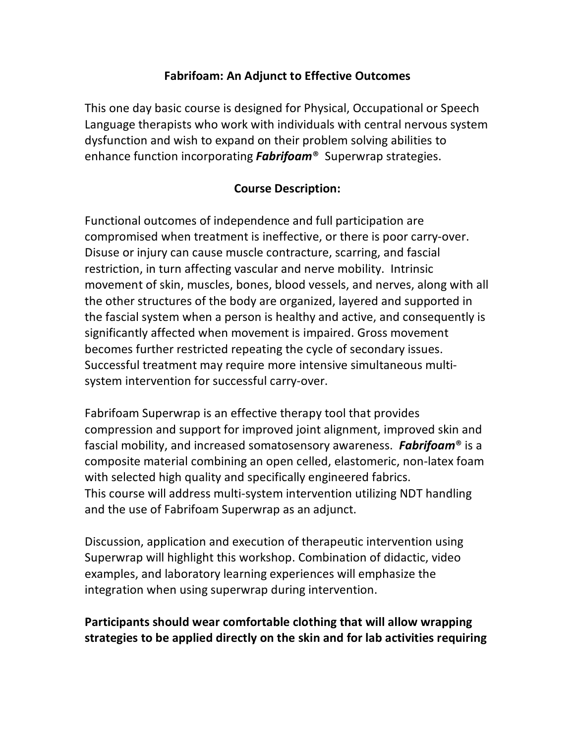## **Fabrifoam: An Adjunct to Effective Outcomes**

This one day basic course is designed for Physical, Occupational or Speech Language therapists who work with individuals with central nervous system dysfunction and wish to expand on their problem solving abilities to enhance function incorporating *Fabrifoam*® Superwrap strategies.

## **Course Description:**

Functional outcomes of independence and full participation are compromised when treatment is ineffective, or there is poor carry-over. Disuse or injury can cause muscle contracture, scarring, and fascial restriction, in turn affecting vascular and nerve mobility. Intrinsic movement of skin, muscles, bones, blood vessels, and nerves, along with all the other structures of the body are organized, layered and supported in the fascial system when a person is healthy and active, and consequently is significantly affected when movement is impaired. Gross movement becomes further restricted repeating the cycle of secondary issues. Successful treatment may require more intensive simultaneous multisystem intervention for successful carry-over.

Fabrifoam Superwrap is an effective therapy tool that provides compression and support for improved joint alignment, improved skin and fascial mobility, and increased somatosensory awareness. *Fabrifoam*® is a composite material combining an open celled, elastomeric, non-latex foam with selected high quality and specifically engineered fabrics. This course will address multi-system intervention utilizing NDT handling and the use of Fabrifoam Superwrap as an adjunct.

Discussion, application and execution of therapeutic intervention using Superwrap will highlight this workshop. Combination of didactic, video examples, and laboratory learning experiences will emphasize the integration when using superwrap during intervention.

## **Participants should wear comfortable clothing that will allow wrapping strategies to be applied directly on the skin and for lab activities requiring**